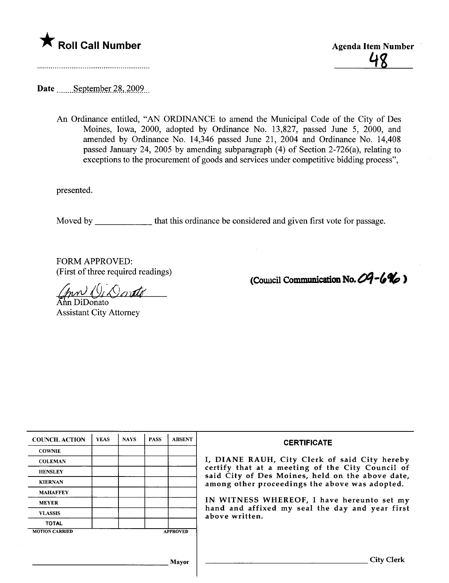

48

(Council Communication No.  $04 - 6\%$ )

Date September 28, 2009

An Ordinance entitled, "AN ORDINANCE to amend the Municipal Code of the City of Des Moines, Iowa, 2000, adopted by Ordinance No. 13,827, passed June 5, 2000, and amended by Ordinance No. 14,346 passed June 21, 2004 and Ordinance No. 14,408 passed January 24, 2005 by amending subparagraph (4) of Section 2-726(a), relating to exceptions to the procurement of goods and services under competitive bidding process",

presented.

Moved by that this ordinance be considered and given first vote for passage.

FORM APPROVED: (First of three required readings)

 $\vee$ ondo

ın DiDonato Assistant City Attorney

| <b>COUNCIL ACTION</b> | <b>YEAS</b> | <b>NAYS</b> | <b>PASS</b> | <b>ABSENT</b>   | <b>CERTIFICATE</b>                                                                                              |  |  |  |
|-----------------------|-------------|-------------|-------------|-----------------|-----------------------------------------------------------------------------------------------------------------|--|--|--|
| <b>COWNIE</b>         |             |             |             |                 | I, DIANE RAUH, City Clerk of said City hereby                                                                   |  |  |  |
| <b>COLEMAN</b>        |             |             |             |                 |                                                                                                                 |  |  |  |
| <b>HENSLEY</b>        |             |             |             |                 | certify that at a meeting of the City Council of<br>said City of Des Moines, held on the above date,            |  |  |  |
| <b>KIERNAN</b>        |             |             |             |                 | among other proceedings the above was adopted.                                                                  |  |  |  |
| <b>MAHAFFEY</b>       |             |             |             |                 |                                                                                                                 |  |  |  |
| <b>MEYER</b>          |             |             |             |                 | IN WITNESS WHEREOF, I have hereunto set my<br>hand and affixed my seal the day and year first<br>above written. |  |  |  |
| <b>VLASSIS</b>        |             |             |             |                 |                                                                                                                 |  |  |  |
| <b>TOTAL</b>          |             |             |             |                 |                                                                                                                 |  |  |  |
| <b>MOTION CARRIED</b> |             |             |             | <b>APPROVED</b> |                                                                                                                 |  |  |  |
|                       |             |             |             |                 |                                                                                                                 |  |  |  |
|                       |             |             |             |                 |                                                                                                                 |  |  |  |
| <b>Mayor</b>          |             |             |             |                 | <b>City Clerk</b>                                                                                               |  |  |  |
|                       |             |             |             |                 |                                                                                                                 |  |  |  |